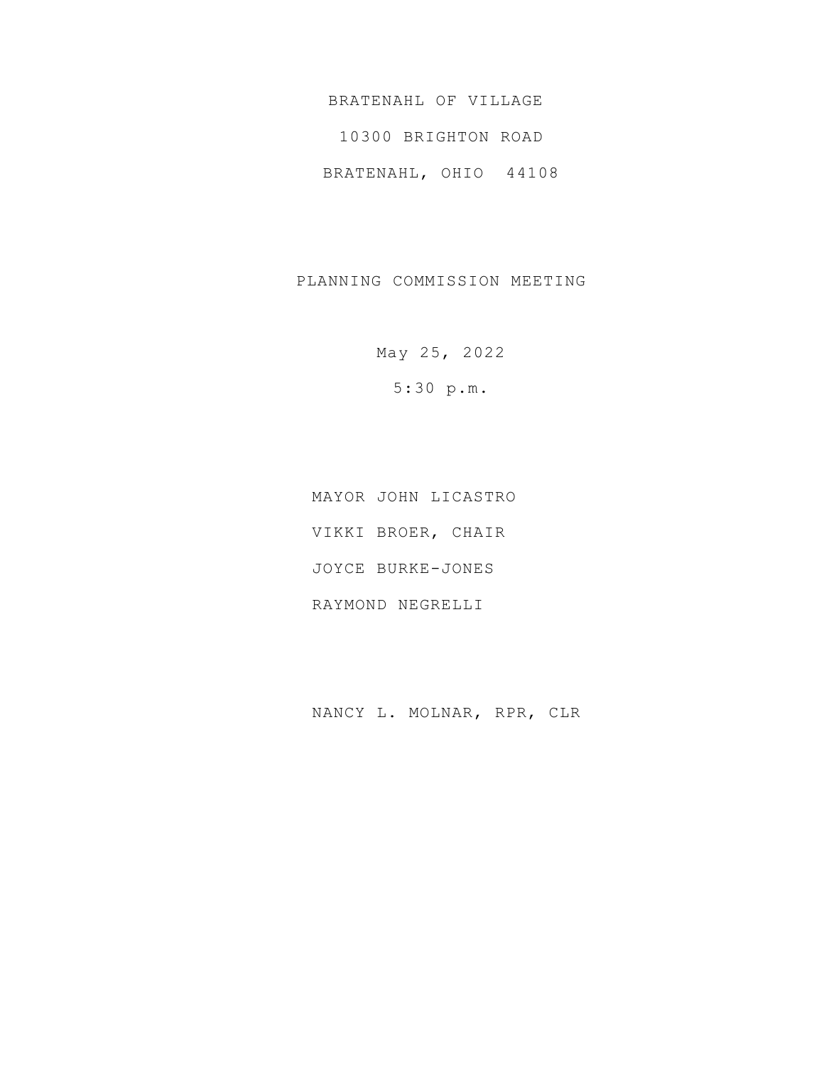BRATENAHL OF VILLAGE

10300 BRIGHTON ROAD

BRATENAHL, OHIO 44108

PLANNING COMMISSION MEETING

May 25, 2022 5:30 p.m.

MAYOR JOHN LICASTRO VIKKI BROER, CHAIR JOYCE BURKE-JONES RAYMOND NEGRELLI

NANCY L. MOLNAR, RPR, CLR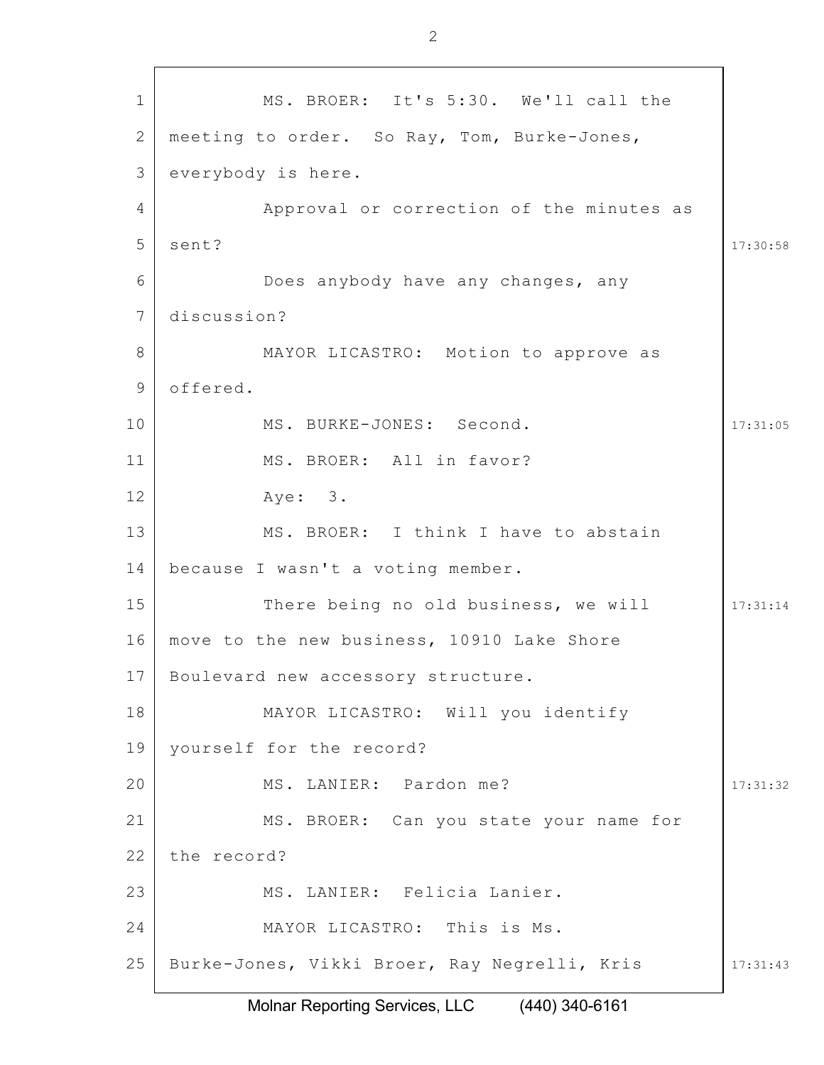1 2 3 4 5 6 7 8 9 10 11 12 13 14 15 16 17 18 19 20 21 22 23 24 25 17:30:58 17:31:05 17:31:14 17:31:32 17:31:43 MS. BROER: It's 5:30. We'll call the meeting to order. So Ray, Tom, Burke-Jones, everybody is here. Approval or correction of the minutes as sent? Does anybody have any changes, any discussion? MAYOR LICASTRO: Motion to approve as offered. MS. BURKE-JONES: Second. MS. BROER: All in favor? Aye: 3. MS. BROER: I think I have to abstain because I wasn't a voting member. There being no old business, we will move to the new business, 10910 Lake Shore Boulevard new accessory structure. MAYOR LICASTRO: Will you identify yourself for the record? MS. LANIER: Pardon me? MS. BROER: Can you state your name for the record? MS. LANIER: Felicia Lanier. MAYOR LICASTRO: This is Ms. Burke-Jones, Vikki Broer, Ray Negrelli, Kris

Molnar Reporting Services, LLC (440) 340-6161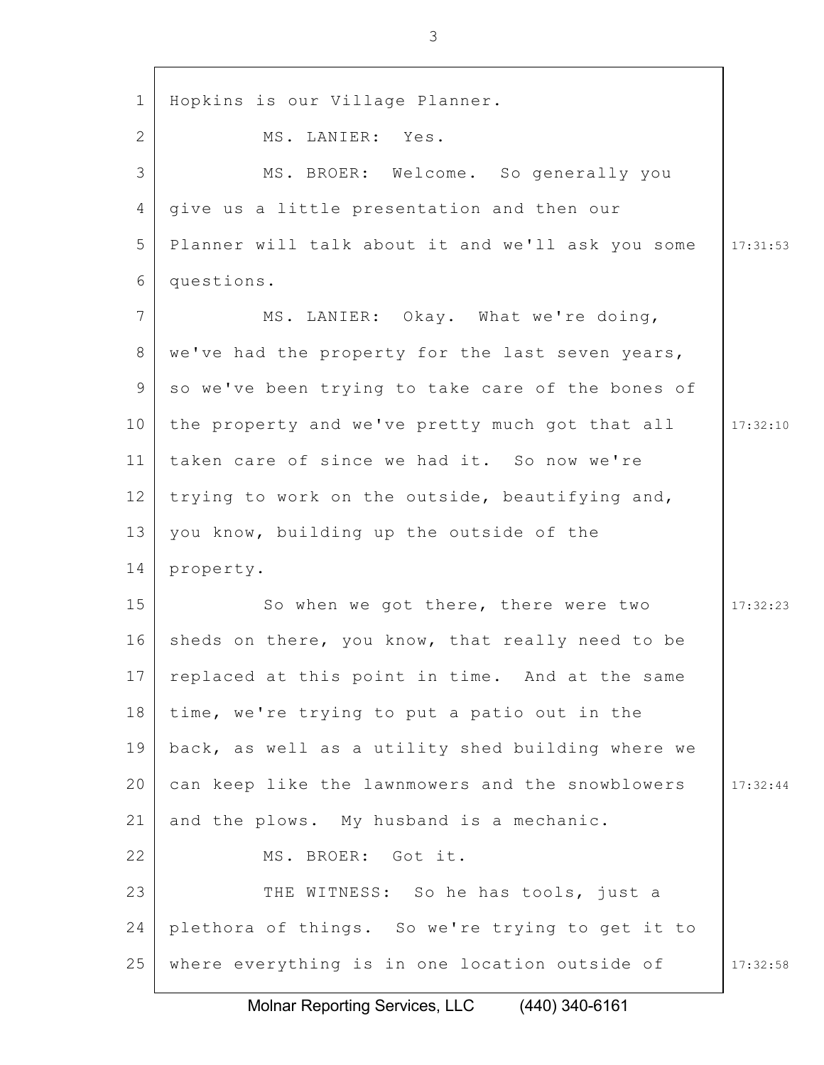| $\mathbf{1}$ | Hopkins is our Village Planner.                   |          |
|--------------|---------------------------------------------------|----------|
| 2            | MS. LANIER: Yes.                                  |          |
| 3            | MS. BROER: Welcome. So generally you              |          |
| 4            | give us a little presentation and then our        |          |
| 5            | Planner will talk about it and we'll ask you some | 17:31:53 |
| 6            | questions.                                        |          |
| 7            | MS. LANIER: Okay. What we're doing,               |          |
| 8            | we've had the property for the last seven years,  |          |
| 9            | so we've been trying to take care of the bones of |          |
| 10           | the property and we've pretty much got that all   | 17:32:10 |
| 11           | taken care of since we had it. So now we're       |          |
| 12           | trying to work on the outside, beautifying and,   |          |
| 13           | you know, building up the outside of the          |          |
| 14           | property.                                         |          |
| 15           | So when we got there, there were two              | 17:32:23 |
| 16           | sheds on there, you know, that really need to be  |          |
| 17           | replaced at this point in time. And at the same   |          |
| 18           | time, we're trying to put a patio out in the      |          |
| 19           | back, as well as a utility shed building where we |          |
| 20           | can keep like the lawnmowers and the snowblowers  | 17:32:44 |
| 21           | and the plows. My husband is a mechanic.          |          |
| 22           | MS. BROER: Got it.                                |          |
| 23           | THE WITNESS: So he has tools, just a              |          |
| 24           | plethora of things. So we're trying to get it to  |          |
| 25           | where everything is in one location outside of    | 17:32:58 |
|              |                                                   |          |

Molnar Reporting Services, LLC (440) 340-6161

3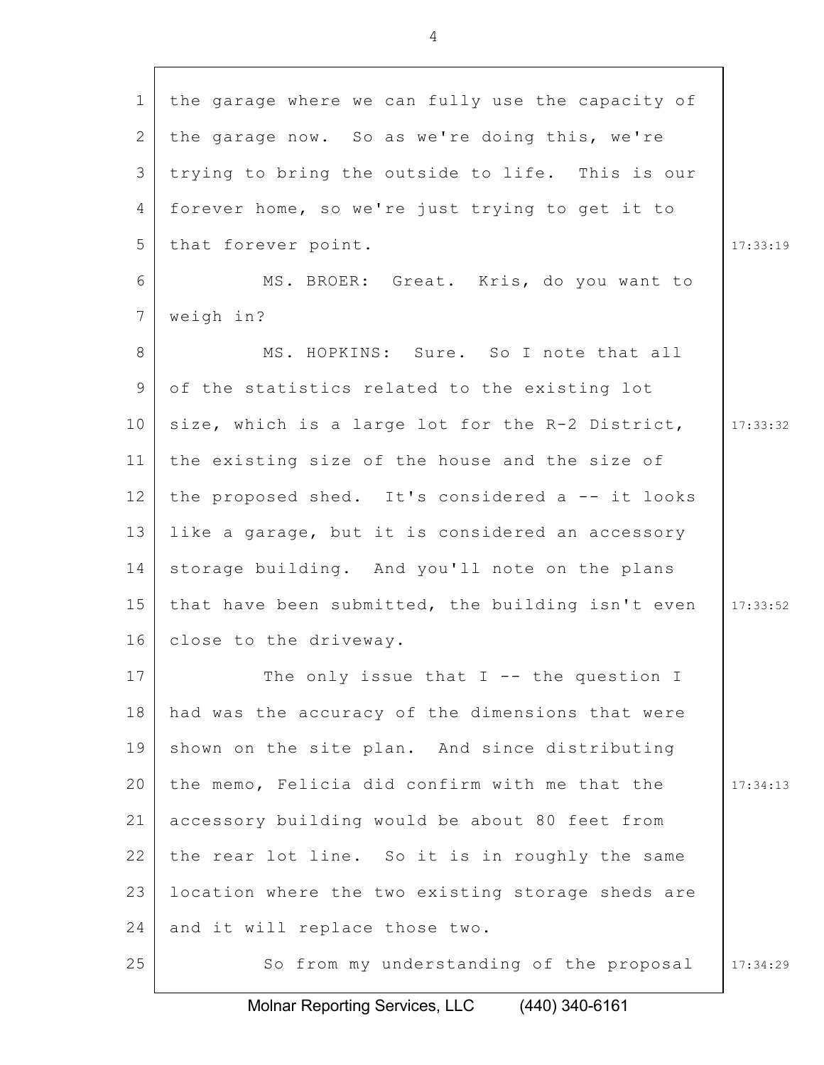| $\mathbf{1}$ | the garage where we can fully use the capacity of |          |
|--------------|---------------------------------------------------|----------|
| 2            | the garage now. So as we're doing this, we're     |          |
| 3            | trying to bring the outside to life. This is our  |          |
| 4            | forever home, so we're just trying to get it to   |          |
| 5            | that forever point.                               | 17:33:19 |
| 6            | MS. BROER: Great. Kris, do you want to            |          |
| 7            | weigh in?                                         |          |
| 8            | MS. HOPKINS: Sure. So I note that all             |          |
| 9            | of the statistics related to the existing lot     |          |
| 10           | size, which is a large lot for the R-2 District,  | 17:33:32 |
| 11           | the existing size of the house and the size of    |          |
| 12           | the proposed shed. It's considered a -- it looks  |          |
| 13           | like a garage, but it is considered an accessory  |          |
| 14           | storage building. And you'll note on the plans    |          |
| 15           | that have been submitted, the building isn't even | 17:33:52 |
| 16           | close to the driveway.                            |          |
| 17           | The only issue that $I$ -- the question I         |          |
| 18           | had was the accuracy of the dimensions that were  |          |
| 19           | shown on the site plan. And since distributing    |          |
| 20           | the memo, Felicia did confirm with me that the    | 17:34:13 |
| 21           | accessory building would be about 80 feet from    |          |
| 22           | the rear lot line. So it is in roughly the same   |          |
| 23           | location where the two existing storage sheds are |          |
| 24           | and it will replace those two.                    |          |
| 25           | So from my understanding of the proposal          | 17:34:29 |
|              |                                                   |          |

Molnar Reporting Services, LLC (440) 340-6161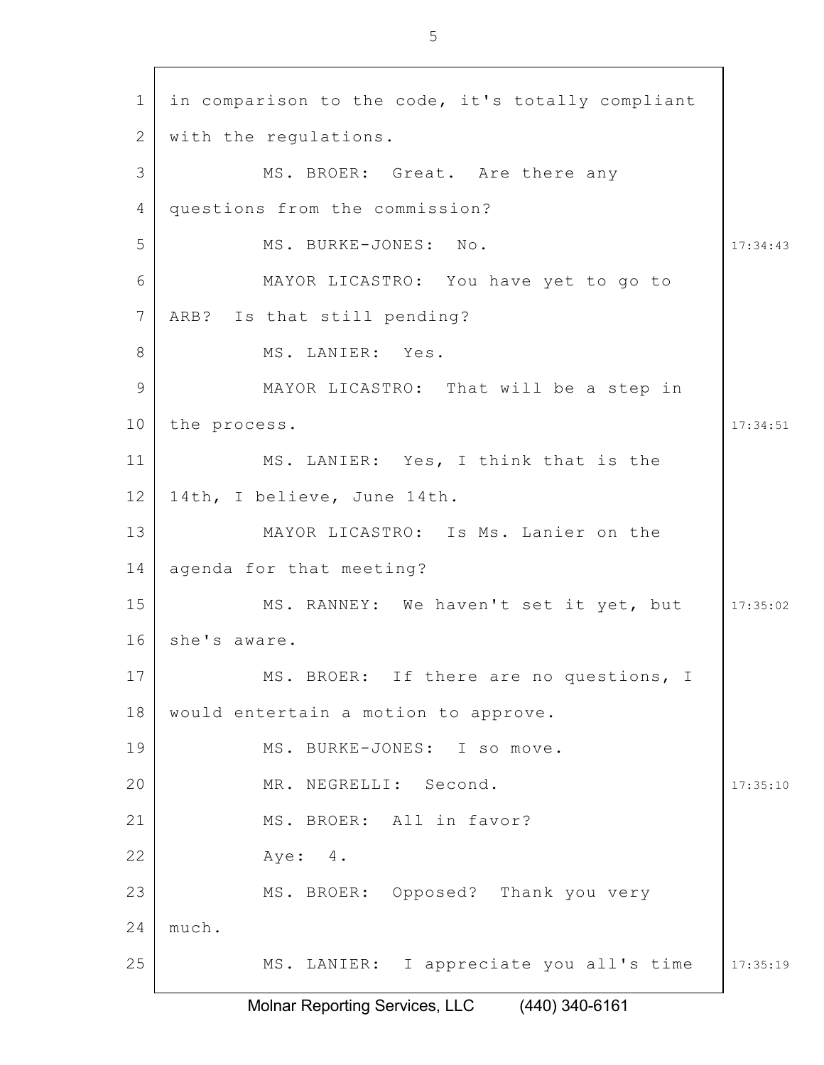| $\mathbf 1$    | in comparison to the code, it's totally compliant |          |
|----------------|---------------------------------------------------|----------|
| $\overline{2}$ | with the regulations.                             |          |
| 3              | MS. BROER: Great. Are there any                   |          |
| 4              | questions from the commission?                    |          |
| 5              | MS. BURKE-JONES: No.                              | 17:34:43 |
| 6              | MAYOR LICASTRO: You have yet to go to             |          |
| 7              | ARB? Is that still pending?                       |          |
| 8              | MS. LANIER: Yes.                                  |          |
| 9              | MAYOR LICASTRO: That will be a step in            |          |
| 10             | the process.                                      | 17:34:51 |
| 11             | MS. LANIER: Yes, I think that is the              |          |
| 12             | 14th, I believe, June 14th.                       |          |
| 13             | MAYOR LICASTRO: Is Ms. Lanier on the              |          |
| 14             | agenda for that meeting?                          |          |
| 15             | MS. RANNEY: We haven't set it yet, but            | 17:35:02 |
| 16             | she's aware.                                      |          |
| 17             | MS. BROER: If there are no questions, I           |          |
| 18             | would entertain a motion to approve.              |          |
| 19             | MS. BURKE-JONES: I so move.                       |          |
| 20             | MR. NEGRELLI: Second.                             | 17:35:10 |
| 21             | MS. BROER: All in favor?                          |          |
| 22             | Aye: 4.                                           |          |
| 23             | MS. BROER: Opposed? Thank you very                |          |
| 24             | much.                                             |          |
| 25             | MS. LANIER: I appreciate you all's time           | 17:35:19 |
|                |                                                   |          |

Molnar Reporting Services, LLC (440) 340-6161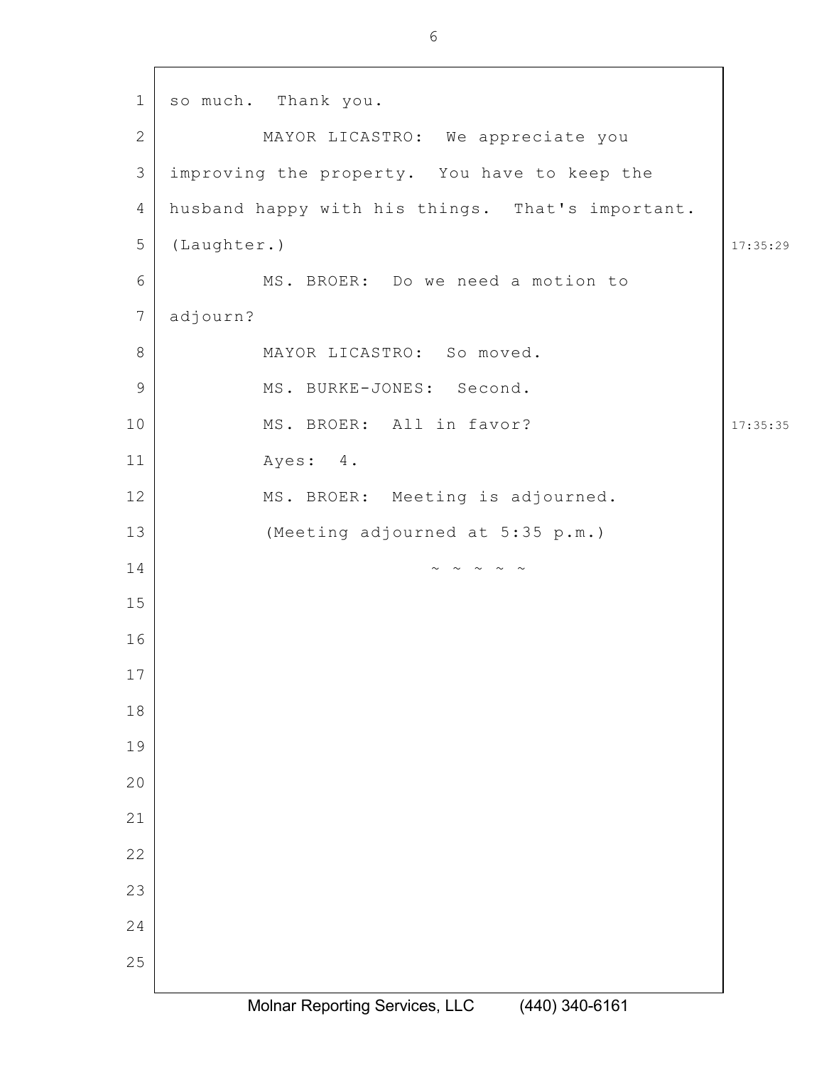17:35:29 17:35:35 so much. Thank you. MAYOR LICASTRO: We appreciate you improving the property. You have to keep the husband happy with his things. That's important. (Laughter.) MS. BROER: Do we need a motion to adjourn? MAYOR LICASTRO: So moved. MS. BURKE-JONES: Second. MS. BROER: All in favor? Ayes: 4. MS. BROER: Meeting is adjourned. (Meeting adjourned at 5:35 p.m.)  $\sim$   $\sim$   $\sim$   $\sim$   $\sim$